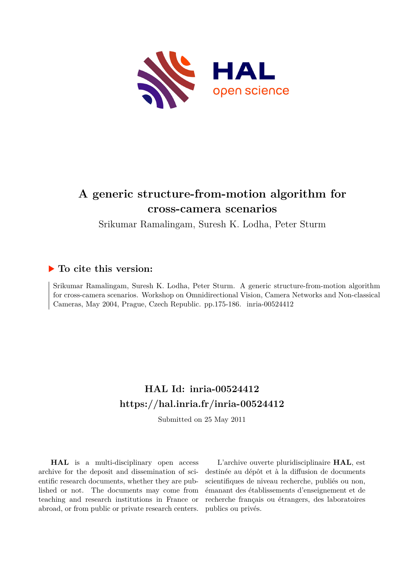

# **A generic structure-from-motion algorithm for cross-camera scenarios**

Srikumar Ramalingam, Suresh K. Lodha, Peter Sturm

## **To cite this version:**

Srikumar Ramalingam, Suresh K. Lodha, Peter Sturm. A generic structure-from-motion algorithm for cross-camera scenarios. Workshop on Omnidirectional Vision, Camera Networks and Non-classical Cameras, May 2004, Prague, Czech Republic. pp.175-186. inria-00524412

# **HAL Id: inria-00524412 <https://hal.inria.fr/inria-00524412>**

Submitted on 25 May 2011

**HAL** is a multi-disciplinary open access archive for the deposit and dissemination of scientific research documents, whether they are published or not. The documents may come from teaching and research institutions in France or abroad, or from public or private research centers.

L'archive ouverte pluridisciplinaire **HAL**, est destinée au dépôt et à la diffusion de documents scientifiques de niveau recherche, publiés ou non, émanant des établissements d'enseignement et de recherche français ou étrangers, des laboratoires publics ou privés.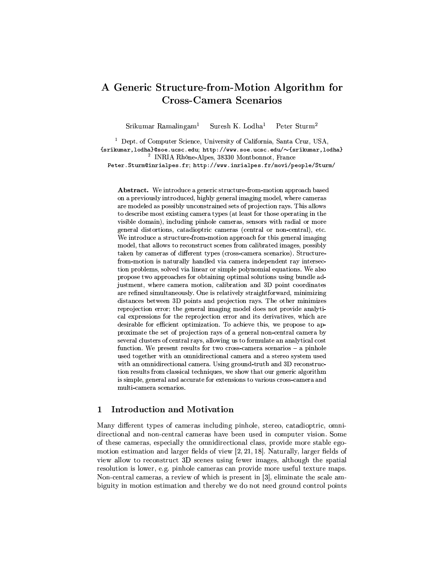## A Generic Structure-from-Motion Algorithm for **Cross-Camera Scenarios**

Peter Sturm<sup>2</sup>  $Srikumar$  Ramalingam<sup>1</sup> Suresh K. Lodha<sup>1</sup>

<sup>1</sup> Dept. of Computer Science, University of California, Santa Cruz, USA, {srikumar, lodha}@soe.ucsc.edu; http://www.soe.ucsc.edu/~{srikumar, lodha} <sup>2</sup> INRIA Rhône-Alpes, 38330 Montbonnot, France Peter. Sturm@inrialpes.fr; http://www.inrialpes.fr/movi/people/Sturm/

Abstract. We introduce a generic structure-from-motion approach based on a previously introduced, highly general imaging model, where cameras are modeled as possibly unconstrained sets of projection rays. This allows to describe most existing camera types (at least for those operating in the visible domain), including pinhole cameras, sensors with radial or more general distortions, catadioptric cameras (central or non-central), etc. We introduce a structure-from-motion approach for this general imaging model, that allows to reconstruct scenes from calibrated images, possibly taken by cameras of different types (cross-camera scenarios). Structurefrom-motion is naturally handled via camera independent ray intersection problems, solved via linear or simple polynomial equations. We also propose two approaches for obtaining optimal solutions using bundle adjustment, where camera motion, calibration and 3D point coordinates are refined simultaneously. One is relatively straightforward, minimizing distances between 3D points and projection rays. The other minimizes reprojection error; the general imaging model does not provide analytical expressions for the reprojection error and its derivatives, which are desirable for efficient optimization. To achieve this, we propose to approximate the set of projection rays of a general non-central camera by several clusters of central rays, allowing us to formulate an analytical cost function. We present results for two cross-camera scenarios  $-$  a pinhole used together with an omnidirectional camera and a stereo system used with an omnidirectional camera. Using ground-truth and 3D reconstruction results from classical techniques, we show that our generic algorithm is simple, general and accurate for extensions to various cross-camera and multi-camera scenarios.

#### Introduction and Motivation  $\mathbf 1$

Many different types of cameras including pinhole, stereo, catadioptric, omnidirectional and non-central cameras have been used in computer vision. Some of these cameras, especially the omnidirectional class, provide more stable egomotion estimation and larger fields of view  $[2, 21, 18]$ . Naturally, larger fields of view allow to reconstruct 3D scenes using fewer images, although the spatial resolution is lower, e.g. pinhole cameras can provide more useful texture maps. Non-central cameras, a review of which is present in [3], eliminate the scale ambiguity in motion estimation and thereby we do not need ground control points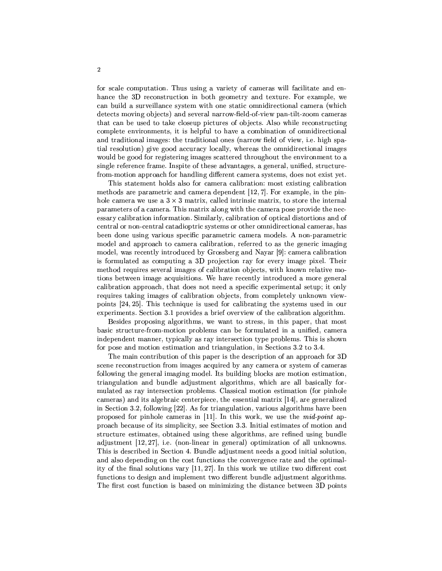for scale computation. Thus using a variety of cameras will facilitate and enhance the 3D reconstruction in both geometry and texture. For example, we can build a surveillance system with one static omnidirectional camera (which detects moving objects) and several narrow-field-of-view pan-tilt-zoom cameras that can be used to take closeup pictures of objects. Also while reconstructing complete environments, it is helpful to have a combination of omnidirectional and traditional images: the traditional ones (narrow field of view, i.e. high spatial resolution) give good accuracy locally, whereas the omnidirectional images would be good for registering images scattered throughout the environment to a single reference frame. Inspite of these advantages, a general, unified, structurefrom-motion approach for handling different camera systems, does not exist yet.

This statement holds also for camera calibration; most existing calibration methods are parametric and camera dependent [12, 7]. For example, in the pinhole camera we use a  $3 \times 3$  matrix, called intrinsic matrix, to store the internal parameters of a camera. This matrix along with the camera pose provide the necessary calibration information. Similarly, calibration of optical distortions and of central or non-central catadioptric systems or other omnidirectional cameras, has been done using various specific parametric camera models. A non-parametric model and approach to camera calibration, referred to as the generic imaging model, was recently introduced by Grossberg and Nayar [9]: camera calibration is formulated as computing a 3D projection ray for every image pixel. Their method requires several images of calibration objects, with known relative motions between image acquisitions. We have recently introduced a more general calibration approach, that does not need a specific experimental setup; it only requires taking images of calibration objects, from completely unknown viewpoints  $[24, 25]$ . This technique is used for calibrating the systems used in our experiments. Section 3.1 provides a brief overview of the calibration algorithm.

Besides proposing algorithms, we want to stress, in this paper, that most basic structure-from-motion problems can be formulated in a unified, camera independent manner, typically as ray intersection type problems. This is shown for pose and motion estimation and triangulation, in Sections 3.2 to 3.4.

The main contribution of this paper is the description of an approach for 3D scene reconstruction from images acquired by any camera or system of cameras following the general imaging model. Its building blocks are motion estimation, triangulation and bundle adjustment algorithms, which are all basically formulated as ray intersection problems. Classical motion estimation (for pinhole cameras) and its algebraic centerpiece, the essential matrix [14], are generalized in Section 3.2, following [22]. As for triangulation, various algorithms have been proposed for pinhole cameras in [11]. In this work, we use the *mid-point* approach because of its simplicity, see Section 3.3. Initial estimates of motion and structure estimates, obtained using these algorithms, are refined using bundle adjustment [12,27], i.e. (non-linear in general) optimization of all unknowns. This is described in Section 4. Bundle adjustment needs a good initial solution, and also depending on the cost functions the convergence rate and the optimality of the final solutions vary [11, 27]. In this work we utilize two different cost functions to design and implement two different bundle adjustment algorithms. The first cost function is based on minimizing the distance between 3D points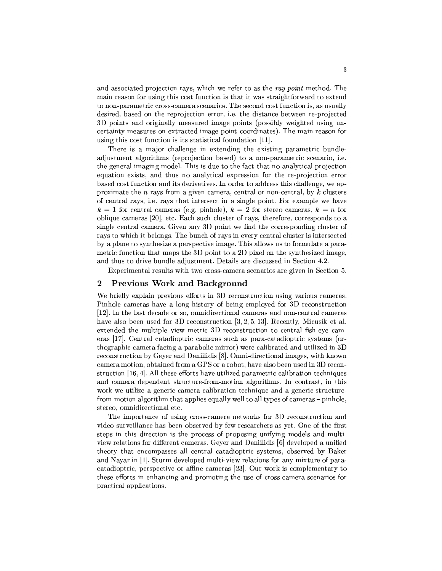and associated projection rays, which we refer to as the ray-point method. The main reason for using this cost function is that it was straightforward to extend to non-parametric cross-camera scenarios. The second cost function is, as usually desired, based on the reprojection error, i.e. the distance between re-projected 3D points and originally measured image points (possibly weighted using uncertainty measures on extracted image point coordinates). The main reason for using this cost function is its statistical foundation [11].

There is a major challenge in extending the existing parametric bundleadjustment algorithms (reprojection based) to a non-parametric scenario, i.e. the general imaging model. This is due to the fact that no analytical projection equation exists, and thus no analytical expression for the re-projection error based cost function and its derivatives. In order to address this challenge, we approximate the n rays from a given camera, central or non-central, by  $k$  clusters of central rays, i.e. rays that intersect in a single point. For example we have  $k = 1$  for central cameras (e.g. pinhole),  $k = 2$  for stereo cameras,  $k = n$  for oblique cameras [20], etc. Each such cluster of rays, therefore, corresponds to a single central camera. Given any 3D point we find the corresponding cluster of rays to which it belongs. The bunch of rays in every central cluster is intersected by a plane to synthesize a perspective image. This allows us to formulate a parametric function that maps the 3D point to a 2D pixel on the synthesized image, and thus to drive bundle adjustment. Details are discussed in Section 4.2.

Experimental results with two cross-camera scenarios are given in Section 5.

#### **Previous Work and Background**  $\overline{2}$

We briefly explain previous efforts in 3D reconstruction using various cameras. Pinhole cameras have a long history of being employed for 3D reconstruction [12]. In the last decade or so, omnidirectional cameras and non-central cameras have also been used for 3D reconstruction  $[3, 2, 5, 13]$ . Recently, Micusik et al. extended the multiple view metric 3D reconstruction to central fish-eye cameras [17]. Central catadioptric cameras such as para-catadioptric systems (orthographic camera facing a parabolic mirror) were calibrated and utilized in 3D reconstruction by Geyer and Daniilidis [8]. Omni-directional images, with known camera motion, obtained from a GPS or a robot, have also been used in 3D reconstruction [16, 4]. All these efforts have utilized parametric calibration techniques and camera dependent structure-from-motion algorithms. In contrast, in this work we utilize a generic camera calibration technique and a generic structurefrom-motion algorithm that applies equally well to all types of cameras – pinhole, stereo, omnidirectional etc.

The importance of using cross-camera networks for 3D reconstruction and video surveillance has been observed by few researchers as yet. One of the first steps in this direction is the process of proposing unifying models and multiview relations for different cameras. Geyer and Daniilidis [6] developed a unified theory that encompasses all central catadioptric systems, observed by Baker and Nayar in [1]. Sturm developed multi-view relations for any mixture of paracatadioptric, perspective or affine cameras [23]. Our work is complementary to these efforts in enhancing and promoting the use of cross-camera scenarios for practical applications.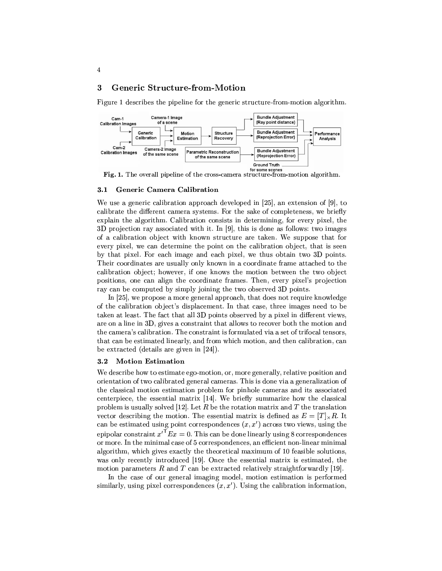#### 3 **Generic Structure-from-Motion**

 $\overline{4}$ 

Figure 1 describes the pipeline for the generic structure-from-motion algorithm.



#### Generic Camera Calibration  $3.1$

We use a generic calibration approach developed in  $[25]$ , an extension of  $[9]$ , to calibrate the different camera systems. For the sake of completeness, we briefly explain the algorithm. Calibration consists in determining, for every pixel, the 3D projection ray associated with it. In  $[9]$ , this is done as follows: two images of a calibration object with known structure are taken. We suppose that for every pixel, we can determine the point on the calibration object, that is seen by that pixel. For each image and each pixel, we thus obtain two 3D points. Their coordinates are usually only known in a coordinate frame attached to the calibration object; however, if one knows the motion between the two object positions, one can align the coordinate frames. Then, every pixel's projection ray can be computed by simply joining the two observed 3D points.

In [25], we propose a more general approach, that does not require knowledge of the calibration object's displacement. In that case, three images need to be taken at least. The fact that all 3D points observed by a pixel in different views, are on a line in 3D, gives a constraint that allows to recover both the motion and the camera's calibration. The constraint is formulated via a set of trifocal tensors, that can be estimated linearly, and from which motion, and then calibration, can be extracted (details are given in  $[24]$ ).

#### $3.2$ **Motion Estimation**

We describe how to estimate ego-motion, or, more generally, relative position and orientation of two calibrated general cameras. This is done via a generalization of the classical motion estimation problem for pinhole cameras and its associated centerpiece, the essential matrix [14]. We briefly summarize how the classical problem is usually solved [12]. Let R be the rotation matrix and T the translation vector describing the motion. The essential matrix is defined as  $E = [T]_{\times}R$ . It can be estimated using point correspondences  $(x, x')$  across two views, using the epipolar constraint  $x'^T E x = 0$ . This can be done linearly using 8 correspondences or more. In the minimal case of 5 correspondences, an efficient non-linear minimal algorithm, which gives exactly the theoretical maximum of 10 feasible solutions, was only recently introduced [19]. Once the essential matrix is estimated, the motion parameters  $R$  and  $T$  can be extracted relatively straightforwardly [19].

In the case of our general imaging model, motion estimation is performed similarly, using pixel correspondences  $(x, x')$ . Using the calibration information,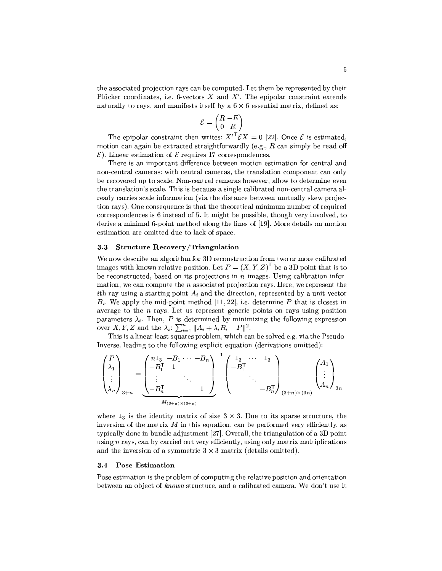the associated projection rays can be computed. Let them be represented by their Plücker coordinates, i.e. 6-vectors X and  $X'$ . The epipolar constraint extends naturally to rays, and manifests itself by a  $6 \times 6$  essential matrix, defined as:

$$
\mathcal{E} = \begin{pmatrix} R & -E \\ 0 & R \end{pmatrix}
$$

The epipolar constraint then writes:  $X^T \mathcal{E} X = 0$  [22]. Once  $\mathcal{E}$  is estimated, motion can again be extracted straightforwardly (e.g.,  $R$  can simply be read off  $\mathcal{E}$ ). Linear estimation of  $\mathcal{E}$  requires 17 correspondences.

There is an important difference between motion estimation for central and non-central cameras: with central cameras, the translation component can only be recovered up to scale. Non-central cameras however, allow to determine even the translation's scale. This is because a single calibrated non-central camera already carries scale information (via the distance between mutually skew projection rays). One consequence is that the theoretical minimum number of required correspondences is 6 instead of 5. It might be possible, though very involved, to derive a minimal 6-point method along the lines of [19]. More details on motion estimation are omitted due to lack of space.

#### Structure Recovery/Triangulation  $3.3$

We now describe an algorithm for 3D reconstruction from two or more calibrated images with known relative position. Let  $P = (X, Y, Z)^T$  be a 3D point that is to be reconstructed, based on its projections in  $n$  images. Using calibration information, we can compute the  $n$  associated projection rays. Here, we represent the ith ray using a starting point  $A_i$  and the direction, represented by a unit vector  $B_i$ . We apply the mid-point method [11, 22], i.e. determine P that is closest in average to the  $n$  rays. Let us represent generic points on rays using position parameters  $\lambda_i$ . Then, P is determined by minimizing the following expression over X, Y, Z and the  $\lambda_i$ :  $\sum_{i=1}^n ||A_i + \lambda_i B_i - P||^2$ .

This is a linear least squares problem, which can be solved e.g. via the Pseudo-Inverse, leading to the following explicit equation (derivations omitted):

$$
\begin{pmatrix} P \\ \lambda_1 \\ \vdots \\ \lambda_n \end{pmatrix}_{3+n} = \underbrace{\begin{pmatrix} n1_3 & -B_1 & \cdots & -B_n \\ -B_1^{\mathsf{T}} & 1 & & \\ \vdots & & \ddots & \\ -B_n^{\mathsf{T}} & & 1 & \end{pmatrix}}_{M_{(3+n)\times(3+n)}} \begin{pmatrix} 1_3 & \cdots & 1_3 \\ -B_1^{\mathsf{T}} & & & \\ & \ddots & & \\ & & -B_n^{\mathsf{T}} \end{pmatrix}_{(3+n)\times(3n)} \begin{pmatrix} A_1 \\ \vdots \\ A_n \end{pmatrix}_{3n}
$$

where  $I_3$  is the identity matrix of size  $3 \times 3$ . Due to its sparse structure, the inversion of the matrix  $M$  in this equation, can be performed very efficiently, as typically done in bundle adjustment [27]. Overall, the triangulation of a 3D point using  $n$  rays, can by carried out very efficiently, using only matrix multiplications and the inversion of a symmetric  $3 \times 3$  matrix (details omitted).

#### **Pose Estimation**  $3.4$

Pose estimation is the problem of computing the relative position and orientation between an object of known structure, and a calibrated camera. We don't use it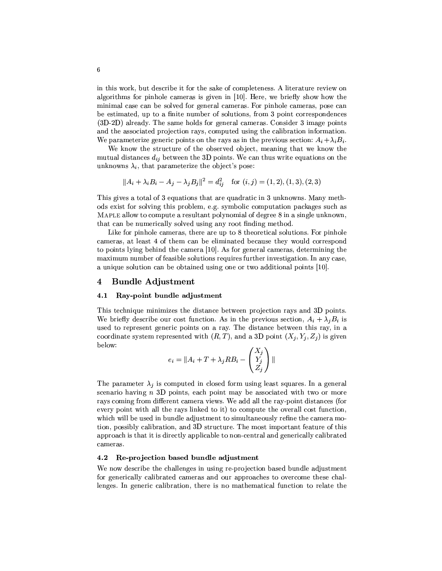in this work, but describe it for the sake of completeness. A literature review on algorithms for pinhole cameras is given in [10]. Here, we briefly show how the minimal case can be solved for general cameras. For pinhole cameras, pose can be estimated, up to a finite number of solutions, from 3 point correspondences (3D-2D) already. The same holds for general cameras. Consider 3 image points and the associated projection rays, computed using the calibration information. We parameterize generic points on the rays as in the previous section:  $A_i + \lambda_i B_i$ .

We know the structure of the observed object, meaning that we know the mutual distances  $d_{ij}$  between the 3D points. We can thus write equations on the unknowns  $\lambda_i$ , that parameterize the object's pose:

$$
||A_i + \lambda_i B_i - A_j - \lambda_j B_j||^2 = d_{ij}^2
$$
 for  $(i, j) = (1, 2), (1, 3), (2, 3)$ 

This gives a total of 3 equations that are quadratic in 3 unknowns. Many methods exist for solving this problem, e.g. symbolic computation packages such as MAPLE allow to compute a resultant polynomial of degree 8 in a single unknown, that can be numerically solved using any root finding method.

Like for pinhole cameras, there are up to 8 theoretical solutions. For pinhole cameras, at least 4 of them can be eliminated because they would correspond to points lying behind the camera [10]. As for general cameras, determining the maximum number of feasible solutions requires further investigation. In any case, a unique solution can be obtained using one or two additional points [10].

#### **Bundle Adjustment**  $\overline{\mathbf{4}}$

#### 4.1 Ray-point bundle adjustment

This technique minimizes the distance between projection rays and 3D points. We briefly describe our cost function. As in the previous section,  $A_i + \lambda_i B_i$  is used to represent generic points on a ray. The distance between this ray, in a coordinate system represented with  $(R, T)$ , and a 3D point  $(X_i, Y_i, Z_i)$  is given below:  $\sqrt{1 + \sqrt{2}}$ 

$$
e_i = \|A_i + T + \lambda_j RB_i - \begin{pmatrix} X_j \\ Y_j \\ Z_j \end{pmatrix}\|
$$

The parameter  $\lambda_j$  is computed in closed form using least squares. In a general scenario having  $n$  3D points, each point may be associated with two or more rays coming from different camera views. We add all the ray-point distances (for every point with all the rays linked to it) to compute the overall cost function, which will be used in bundle adjustment to simultaneously refine the camera motion, possibly calibration, and 3D structure. The most important feature of this approach is that it is directly applicable to non-central and generically calibrated cameras.

#### Re-projection based bundle adjustment  $4.2$

We now describe the challenges in using re-projection based bundle adjustment for generically calibrated cameras and our approaches to overcome these challenges. In generic calibration, there is no mathematical function to relate the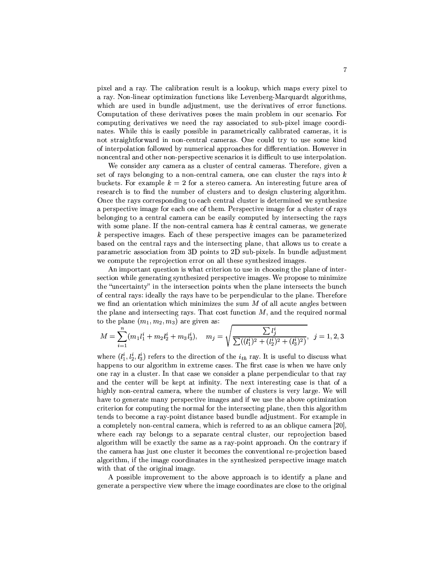pixel and a ray. The calibration result is a lookup, which maps every pixel to a ray. Non-linear optimization functions like Levenberg-Marquardt algorithms. which are used in bundle adjustment, use the derivatives of error functions. Computation of these derivatives poses the main problem in our scenario. For computing derivatives we need the ray associated to sub-pixel image coordinates. While this is easily possible in parametrically calibrated cameras, it is not straightforward in non-central cameras. One could try to use some kind of interpolation followed by numerical approaches for differentiation. However in noncentral and other non-perspective scenarios it is difficult to use interpolation.

We consider any camera as a cluster of central cameras. Therefore, given a set of rays belonging to a non-central camera, one can cluster the rays into  $k$ buckets. For example  $k = 2$  for a stereo camera. An interesting future area of research is to find the number of clusters and to design clustering algorithm. Once the rays corresponding to each central cluster is determined we synthesize a perspective image for each one of them. Perspective image for a cluster of rays belonging to a central camera can be easily computed by intersecting the rays with some plane. If the non-central camera has  $k$  central cameras, we generate k perspective images. Each of these perspective images can be parameterized based on the central rays and the intersecting plane, that allows us to create a parametric association from 3D points to 2D sub-pixels. In bundle adjustment we compute the reprojection error on all these synthesized images.

An important question is what criterion to use in choosing the plane of intersection while generating synthesized perspective images. We propose to minimize the "uncertainty" in the intersection points when the plane intersects the bunch of central rays: ideally the rays have to be perpendicular to the plane. Therefore we find an orientation which minimizes the sum  $M$  of all acute angles between the plane and intersecting rays. That cost function  $M$ , and the required normal to the plane  $(m_1, m_2, m_3)$  are given as:

$$
M = \sum_{i=1}^{n} (m_1 l_1^i + m_2 l_2^i + m_3 l_3^i), \quad m_j = \sqrt{\frac{\sum l_j^i}{\sum ((l_1^i)^2 + (l_2^i)^2 + (l_3^i)^2)}}, \quad j = 1, 2, 3
$$

where  $(l_1^i, l_2^i, l_3^i)$  refers to the direction of the  $i_{th}$  ray. It is useful to discuss what happens to our algorithm in extreme cases. The first case is when we have only one ray in a cluster. In that case we consider a plane perpendicular to that ray and the center will be kept at infinity. The next interesting case is that of a highly non-central camera, where the number of clusters is very large. We will have to generate many perspective images and if we use the above optimization criterion for computing the normal for the intersecting plane, then this algorithm tends to become a ray-point distance based bundle adjustment. For example in a completely non-central camera, which is referred to as an oblique camera [20], where each ray belongs to a separate central cluster, our reprojection based algorithm will be exactly the same as a ray-point approach. On the contrary if the camera has just one cluster it becomes the conventional re-projection based algorithm, if the image coordinates in the synthesized perspective image match with that of the original image.

A possible improvement to the above approach is to identify a plane and generate a perspective view where the image coordinates are close to the original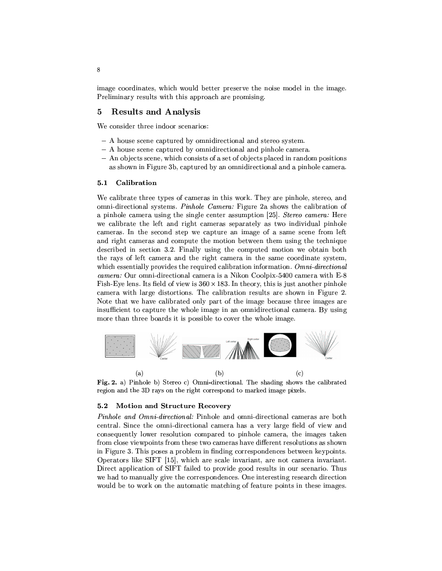image coordinates, which would better preserve the noise model in the image. Preliminary results with this approach are promising.

#### **Results and Analysis** 5

We consider three indoor scenarios:

- A house scene captured by omnidirectional and stereo system.
- A house scene captured by omnidirectional and pinhole camera.
- An objects scene, which consists of a set of objects placed in random positions as shown in Figure 3b, captured by an omnidirectional and a pinhole camera.

#### $5.1$ Calibration

We calibrate three types of cameras in this work. They are pinhole, stereo, and omni-directional systems. Pinhole Camera: Figure 2a shows the calibration of a pinhole camera using the single center assumption [25]. Stereo camera: Here we calibrate the left and right cameras separately as two individual pinhole cameras. In the second step we capture an image of a same scene from left and right cameras and compute the motion between them using the technique described in section 3.2. Finally using the computed motion we obtain both the rays of left camera and the right camera in the same coordinate system, which essentially provides the required calibration information. Omni-directional camera: Our omni-directional camera is a Nikon Coolpix-5400 camera with E-8 Fish-Eye lens. Its field of view is  $360 \times 183$ . In theory, this is just another pinhole camera with large distortions. The calibration results are shown in Figure 2. Note that we have calibrated only part of the image because three images are insufficient to capture the whole image in an omnidirectional camera. By using more than three boards it is possible to cover the whole image.



Fig. 2. a) Pinhole b) Stereo c) Omni-directional. The shading shows the calibrated region and the 3D rays on the right correspond to marked image pixels.

#### **Motion and Structure Recovery**  $5.2$

Pinhole and Omni-directional: Pinhole and omni-directional cameras are both central. Since the omni-directional camera has a very large field of view and consequently lower resolution compared to pinhole camera, the images taken from close viewpoints from these two cameras have different resolutions as shown in Figure 3. This poses a problem in finding correspondences between keypoints. Operators like SIFT [15], which are scale invariant, are not camera invariant. Direct application of SIFT failed to provide good results in our scenario. Thus we had to manually give the correspondences. One interesting research direction would be to work on the automatic matching of feature points in these images.

 $\bf 8$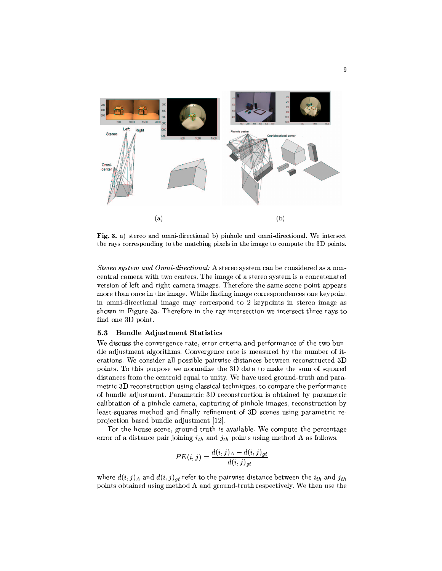

Fig. 3. a) stereo and omni-directional b) pinhole and omni-directional. We intersect the rays corresponding to the matching pixels in the image to compute the 3D points.

Stereo system and Omni-directional: A stereo system can be considered as a noncentral camera with two centers. The image of a stereo system is a concatenated version of left and right camera images. Therefore the same scene point appears more than once in the image. While finding image correspondences one keypoint in omni-directional image may correspond to 2 keypoints in stereo image as shown in Figure 3a. Therefore in the ray-intersection we intersect three rays to find one 3D point.

#### **Bundle Adjustment Statistics**  $5.3$

We discuss the convergence rate, error criteria and performance of the two bundle adjustment algorithms. Convergence rate is measured by the number of iterations. We consider all possible pairwise distances between reconstructed 3D points. To this purpose we normalize the 3D data to make the sum of squared distances from the centroid equal to unity. We have used ground-truth and parametric 3D reconstruction using classical techniques, to compare the performance of bundle adjustment. Parametric 3D reconstruction is obtained by parametric calibration of a pinhole camera, capturing of pinhole images, reconstruction by least-squares method and finally refinement of 3D scenes using parametric reprojection based bundle adjustment [12].

For the house scene, ground-truth is available. We compute the percentage error of a distance pair joining  $i_{th}$  and  $j_{th}$  points using method A as follows.

$$
PE(i,j) = \frac{d(i,j)_A - d(i,j)_{gt}}{d(i,j)_{gt}}
$$

where  $d(i, j)_A$  and  $d(i, j)_{at}$  refer to the pairwise distance between the  $i_{th}$  and  $j_{th}$ points obtained using method A and ground-truth respectively. We then use the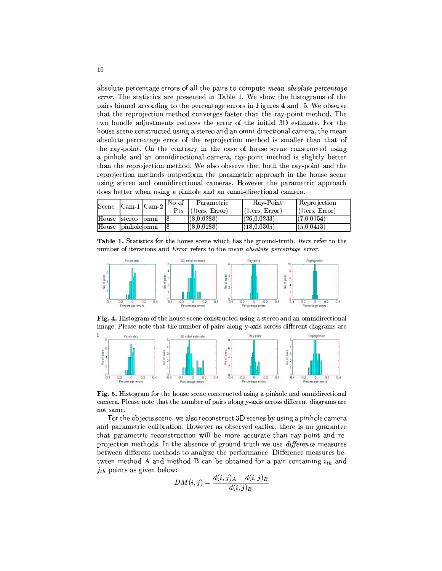absolute percentage errors of all the pairs to compute mean absolute percentage error. The statistics are presented in Table 1. We show the histograms of the pairs binned according to the percentage errors in Figures 4 and 5. We observe that the reprojection method converges faster than the ray-point method. The two bundle adjustments reduces the error of the initial 3D estimate. For the house scene constructed using a stereo and an omni-directional camera, the mean absolute percentage error of the reprojection method is smaller than that of the ray-point. On the contrary in the case of house scene constructed using a pinhole and an omnidirectional camera, ray-point method is slightly better than the reprojection method. We also observe that both the ray-point and the reprojection methods outperform the parametric approach in the house scene using stereo and omnidirectional cameras. However the parametric approach does better when using a pinhole and an omni-directional camera.

| Scene             | $\lfloor \text{Cam-1} \rfloor \lfloor \text{Cam-2} \rfloor$ | No of<br>Pts | Parametric<br>(Iters. Error) | Ray Point<br>(Iters, Error) | Reprojection<br>(Iters, Error) |
|-------------------|-------------------------------------------------------------|--------------|------------------------------|-----------------------------|--------------------------------|
| House stereo omni |                                                             |              | (8.0.0288)                   | (26, 0.0233)                | (7.0.0154)                     |
| House pinholeomni |                                                             |              | (8.0.0288)                   | (18, 0.0305)                | (5.0.0413)                     |

Table 1. Statistics for the house scene which has the ground-truth. *Iters* refer to the number of iterations and Error refers to the mean absolute percentage error.



Fig. 4. Histogram of the house scene constructed using a stereo and an omnidirectional image. Please note that the number of pairs along y-axis across different diagrams are



Fig. 5. Histogram for the house scene constructed using a pinhole and omnidirectional camera. Please note that the number of pairs along y-axis across different diagrams are not same.

For the objects scene, we also reconstruct 3D scenes by using a pinhole camera and parametric calibration. However as observed earlier, there is no guarantee that parametric reconstruction will be more accurate than ray-point and reprojection methods. In the absence of ground-truth we use *difference* measures between different methods to analyze the performance. Difference measures between method A and method B can be obtained for a pair containing  $i_{th}$  and  $j_{th}$  points as given below:

$$
DM(i,j) = \frac{d(i,j) \cdot A - d(i,j) \cdot B}{d(i,j) \cdot B}
$$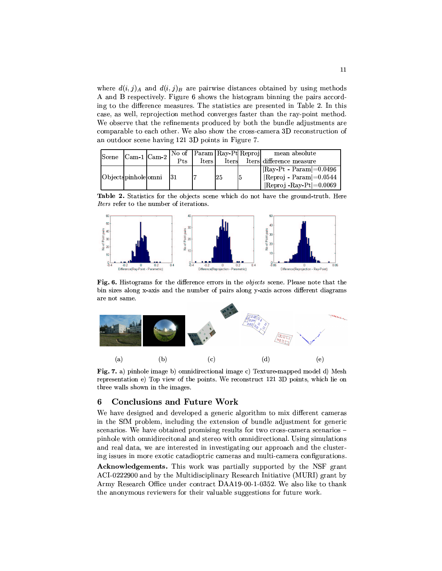where  $d(i, j)$ <sub>A</sub> and  $d(i, j)$ <sub>B</sub> are pairwise distances obtained by using methods A and B respectively. Figure 6 shows the histogram binning the pairs according to the difference measures. The statistics are presented in Table 2. In this case, as well, reprojection method converges faster than the ray-point method. We observe that the refinements produced by both the bundle adjustments are comparable to each other. We also show the cross-camera 3D reconstruction of an outdoor scene having 121 3D points in Figure 7.

| <b>Scene</b>          | $\lfloor$ Cam 1 $\lfloor$ Cam 2 $\rfloor$ |  | No of Param Ray-Pt Reproj |              |    |  | mean absolute                          |
|-----------------------|-------------------------------------------|--|---------------------------|--------------|----|--|----------------------------------------|
|                       |                                           |  | Pts                       | <b>Iters</b> |    |  | Iters Iters difference measure         |
| Objectspinholeomni 31 |                                           |  |                           |              | 25 |  | $\vert$ Ray-Pt - Param $\vert$ =0.0496 |
|                       |                                           |  |                           |              |    |  | $\mid$  Reproj - Param $\mid = 0.0544$ |
|                       |                                           |  |                           |              |    |  | $ $ Reproj - Ray-Pt $ =$ 0.0069        |

Table 2. Statistics for the objects scene which do not have the ground-truth. Here Iters refer to the number of iterations.



Fig. 6. Histograms for the difference errors in the *objects* scene. Please note that the bin sizes along x-axis and the number of pairs along y-axis across different diagrams are not same.



Fig. 7. a) pinhole image b) omnidirectional image c) Texture-mapped model d) Mesh representation e) Top view of the points. We reconstruct 121 3D points, which lie on three walls shown in the images.

#### **Conclusions and Future Work** 6

We have designed and developed a generic algorithm to mix different cameras in the SfM problem, including the extension of bundle adjustment for generic scenarios. We have obtained promising results for two cross-camera scenarios pinhole with omnidirecitonal and stereo with omnidirectional. Using simulations and real data, we are interested in investigating our approach and the clustering issues in more exotic catadioptric cameras and multi-camera configurations.

Acknowledgements. This work was partially supported by the NSF grant ACI-0222900 and by the Multidisciplinary Research Initiative (MURI) grant by Army Research Office under contract DAA19-00-1-0352. We also like to thank the anonymous reviewers for their valuable suggestions for future work.